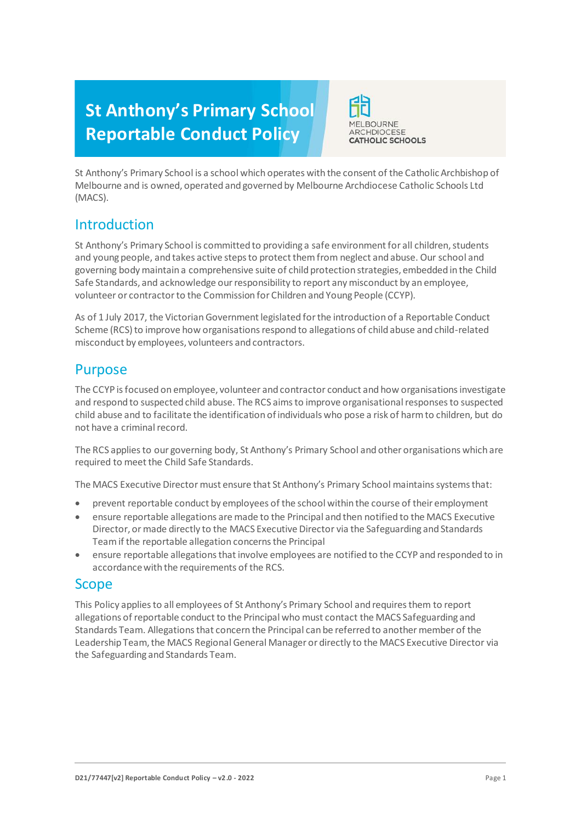# **St Anthony's Primary School Reportable Conduct Policy**



St Anthony's Primary School is a school which operates with the consent of the Catholic Archbishop of Melbourne and is owned, operated and governed by Melbourne Archdiocese Catholic Schools Ltd (MACS).

## Introduction

St Anthony's Primary School is committed to providing a safe environment for all children, students and young people, and takes active steps to protect them from neglect and abuse. Our school and governing body maintain a comprehensive suite of child protection strategies, embedded in the Child Safe Standards, and acknowledge our responsibility to report any misconduct by an employee, volunteer or contractor to the Commission for Children and Young People (CCYP).

As of 1 July 2017, the Victorian Government legislated for the introduction of a Reportable Conduct Scheme (RCS) to improve how organisations respond to allegations of child abuse and child-related misconduct by employees, volunteers and contractors.

## Purpose

The CCYP is focused on employee, volunteer and contractor conduct and how organisations investigate and respond to suspected child abuse. The RCS aims to improve organisational responses to suspected child abuse and to facilitate the identification of individuals who pose a risk of harm to children, but do not have a criminal record.

The RCS applies to our governing body, St Anthony's Primary School and other organisations which are required to meet the Child Safe Standards.

The MACS Executive Director must ensure that St Anthony's Primary School maintains systems that:

- prevent reportable conduct by employees of the school within the course of their employment
- ensure reportable allegations are made to the Principal and then notified to the MACS Executive Director, or made directly to the MACS Executive Director via the Safeguarding and Standards Teamif the reportable allegation concerns the Principal
- ensure reportable allegations that involve employees are notified to the CCYP and responded to in accordance with the requirements of the RCS.

## Scope

This Policy applies to all employees of St Anthony's Primary School and requires them to report allegations of reportable conduct to the Principal who must contact the MACS Safeguarding and Standards Team. Allegations that concern the Principal can be referred to another member of the Leadership Team, the MACS Regional General Manager or directly to the MACS Executive Director via the Safeguarding and Standards Team.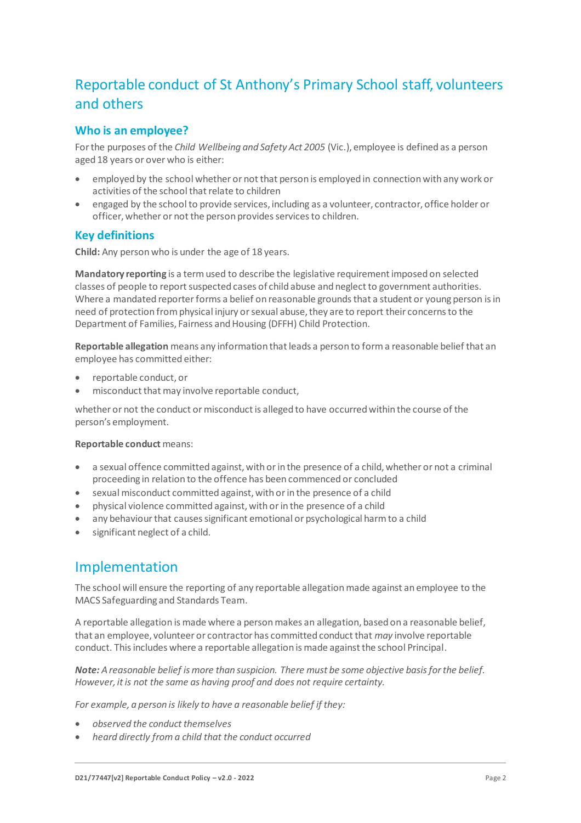## Reportable conduct of St Anthony's Primary School staff, volunteers and others

## **Who is an employee?**

For the purposes of the *Child Wellbeing and Safety Act 2005* (Vic.), employee is defined as a person aged 18 years or over who is either:

- employed by the school whether or not that person is employed in connection with any work or activities of the school that relate to children
- engaged by the school to provide services, including as a volunteer, contractor, office holder or officer, whether or not the person provides services to children.

## **Key definitions**

**Child:** Any person who is under the age of 18 years.

**Mandatory reporting** is a term used to describe the legislative requirement imposed on selected classes of people to report suspected cases of child abuse and neglect to government authorities. Where a mandated reporter forms a belief on reasonable grounds that a student or young person is in need of protection from physical injury or sexual abuse, they are to report their concerns to the Department of Families, Fairness and Housing (DFFH) Child Protection.

**Reportable allegation** means any information that leads a person to form a reasonable belief that an employee has committed either:

- reportable conduct, or
- misconduct that may involve reportable conduct,

whether or not the conduct or misconduct is alleged to have occurred within the course of the person's employment.

#### **Reportable conduct** means:

- a sexual offence committed against, with or in the presence of a child, whether or not a criminal proceeding in relation to the offence has been commenced or concluded
- sexual misconduct committed against, with or in the presence of a child
- physical violence committed against, with or in the presence of a child
- any behaviour that causes significant emotional or psychological harm to a child
- significant neglect of a child.

## Implementation

The school will ensure the reporting of any reportable allegation made against an employee to the MACS Safeguarding and Standards Team.

A reportable allegation is made where a person makes an allegation, based on a reasonable belief, that an employee, volunteer or contractor has committed conduct that *may* involve reportable conduct. This includes where a reportable allegation is made against the school Principal.

*Note: A reasonable belief is more than suspicion. There must be some objective basis for the belief. However, it is not the same as having proof and does not require certainty.*

*For example, a person is likely to have a reasonable belief if they:*

- *observed the conduct themselves*
- *heard directly from a child that the conduct occurred*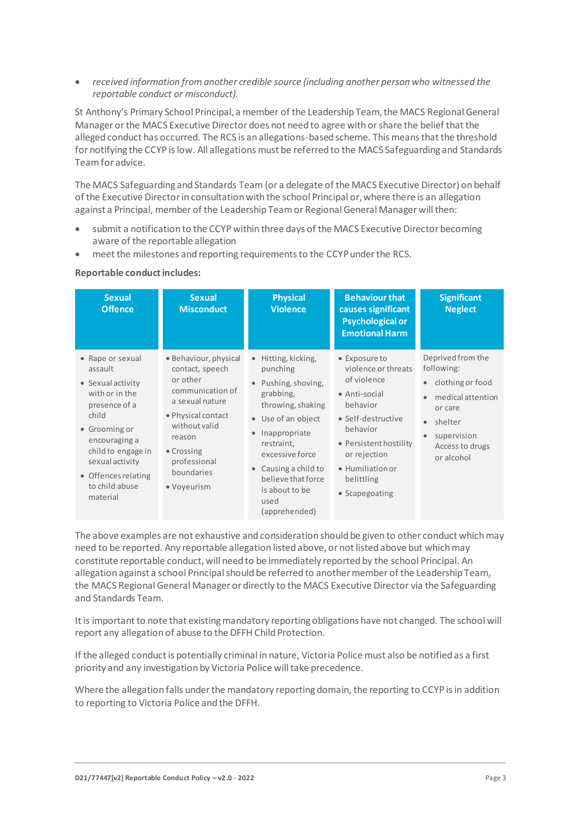*received information from another credible source (including another person who witnessed the reportable conduct or misconduct).*

St Anthony's Primary School Principal, a member of the Leadership Team, the MACS Regional General Manager or the MACS Executive Director does not need to agree with or share the belief that the alleged conduct has occurred. The RCS is an allegations-based scheme. This means that the threshold for notifying the CCYP is low. All allegations must be referred to the MACS Safeguarding and Standards Teamfor advice.

The MACS Safeguarding and Standards Team (or a delegate of the MACS Executive Director) on behalf of the Executive Director in consultation with the school Principal or, where there is an allegation against a Principal, member of the Leadership Team or Regional General Manager will then:

- submit a notification to the CCYP within three days of the MACS Executive Director becoming aware of the reportable allegation
- meet the milestones and reporting requirements to the CCYPunder the RCS.

#### **Reportable conduct includes:**

| <b>Sexual</b><br><b>Offence</b>                                                                                                                                                                                              | <b>Sexual</b><br><b>Misconduct</b>                                                                                                                                                                      | <b>Physical</b><br><b>Violence</b>                                                                                                                                                                                                                  | <b>Behaviour that</b><br>causes significant<br><b>Psychological or</b><br><b>Emotional Harm</b>                                                                                                                          | <b>Significant</b><br><b>Neglect</b>                                                                                                                                     |
|------------------------------------------------------------------------------------------------------------------------------------------------------------------------------------------------------------------------------|---------------------------------------------------------------------------------------------------------------------------------------------------------------------------------------------------------|-----------------------------------------------------------------------------------------------------------------------------------------------------------------------------------------------------------------------------------------------------|--------------------------------------------------------------------------------------------------------------------------------------------------------------------------------------------------------------------------|--------------------------------------------------------------------------------------------------------------------------------------------------------------------------|
| • Rape or sexual<br>assault<br>• Sexual activity<br>with or in the<br>presence of a<br>child<br>• Grooming or<br>encouraging a<br>child to engage in<br>sexual activity<br>• Offences relating<br>to child abuse<br>material | • Behaviour, physical<br>contact, speech<br>or other<br>communication of<br>a sexual nature<br>• Physical contact<br>without valid<br>reason<br>• Crossing<br>professional<br>boundaries<br>• Voyeurism | Hitting, kicking,<br>punching<br>Pushing, shoving,<br>grabbing,<br>throwing, shaking<br>• Use of an object<br>Inappropriate<br>restraint,<br>excessive force<br>Causing a child to<br>believe that force<br>is about to be<br>used<br>(apprehended) | • Exposure to<br>violence or threats<br>of violence<br>• Anti-social<br>behavior<br>• Self-destructive<br>behavior<br>• Persistent hostility<br>or rejection<br>$\bullet$ Humiliation or<br>belittling<br>• Scapegoating | Deprived from the<br>following:<br>clothing or food<br>$\bullet$<br>medical attention<br>or care<br>shelter<br>$\bullet$<br>supervision<br>Access to drugs<br>or alcohol |

The above examples are not exhaustive and consideration should be given to other conduct which may need to be reported. Any reportable allegation listed above, or not listed above but which may constitute reportable conduct, will need to be immediately reported by the school Principal. An allegation against a school Principal should be referred to another member of the Leadership Team, the MACS Regional General Manager or directly to the MACS Executive Director via the Safeguarding and Standards Team.

It is important to note that existing mandatory reporting obligations have not changed. The school will report any allegation of abuse to the DFFH Child Protection.

If the alleged conduct is potentially criminal in nature, Victoria Police must also be notified as a first priority and any investigation by Victoria Police will take precedence.

Where the allegation falls under the mandatory reporting domain, the reporting to CCYP is in addition to reporting to Victoria Police and the DFFH.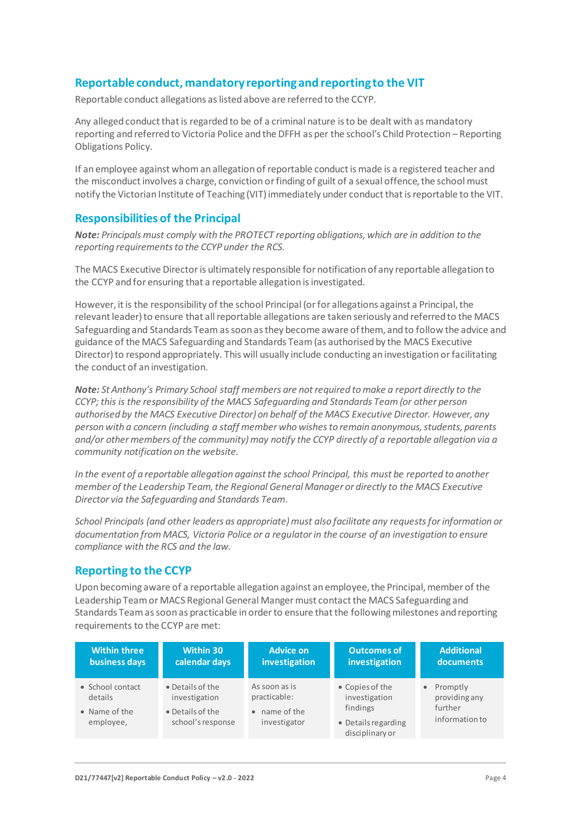## **Reportable conduct, mandatory reporting and reporting to the VIT**

Reportable conduct allegations as listed above are referred to the CCYP.

Any alleged conduct that is regarded to be of a criminal nature is to be dealt with as mandatory reporting and referred to Victoria Police and the DFFH as per the school's Child Protection – Reporting Obligations Policy.

If an employee against whom an allegation of reportable conduct is made is a registered teacher and the misconduct involves a charge, conviction or finding of guilt of a sexual offence, the school must notify the Victorian Institute of Teaching (VIT) immediately under conduct that is reportable to the VIT.

### **Responsibilities of the Principal**

*Note: Principals must comply with the PROTECT reporting obligations, which are in addition to the reporting requirements to the CCYP under the RCS.*

The MACS Executive Director is ultimately responsible for notification of any reportable allegation to the CCYP and for ensuring that a reportable allegation is investigated.

However, it is the responsibility of the school Principal (or for allegations against a Principal, the relevant leader) to ensure that all reportable allegations are taken seriously and referred to the MACS Safeguarding and Standards Team as soon as they become aware of them, and to follow the advice and guidance of the MACS Safeguarding and Standards Team (as authorised by the MACS Executive Director) to respond appropriately. This will usually include conducting an investigation or facilitating the conduct of an investigation.

*Note: St Anthony's Primary School staff members are not required to make a report directly to the CCYP; this is the responsibility of the MACS Safeguarding and Standards Team (or other person authorised by the MACS Executive Director) on behalf of the MACS Executive Director. However, any person with a concern (including a staff member who wishes to remain anonymous, students, parents and/or other members of the community) may notify the CCYP directly of a reportable allegation via a community notification on the website.*

*In the event of a reportable allegation against the school Principal, this must be reported to another member of the Leadership Team, the Regional General Manager or directly to the MACS Executive Director via the Safeguarding and Standards Team.*

*School Principals (and other leaders as appropriate) must also facilitate any requests for information or documentation from MACS, Victoria Police or a regulator in the course of an investigation to ensure compliance with the RCS and the law.*

## **Reporting to the CCYP**

Upon becoming aware of a reportable allegation against an employee, the Principal, member of the Leadership Team or MACS Regional General Manger must contact the MACS Safeguarding and Standards Teamas soon as practicable in order to ensure that the following milestones and reporting requirements to the CCYP are met:

| <b>Within three</b>                                       | <b>Within 30</b>                                                           | <b>Advice on</b>                                               | <b>Outcomes of</b>                                                                     | <b>Additional</b>                                        |
|-----------------------------------------------------------|----------------------------------------------------------------------------|----------------------------------------------------------------|----------------------------------------------------------------------------------------|----------------------------------------------------------|
| business days                                             | calendar days                                                              | investigation                                                  | investigation                                                                          | documents                                                |
| • School contact<br>details<br>• Name of the<br>employee, | • Details of the<br>investigation<br>• Details of the<br>school's response | As soon as is<br>practicable:<br>• name of the<br>investigator | • Copies of the<br>investigation<br>findings<br>• Details regarding<br>disciplinary or | • Promptly<br>providing any<br>further<br>information to |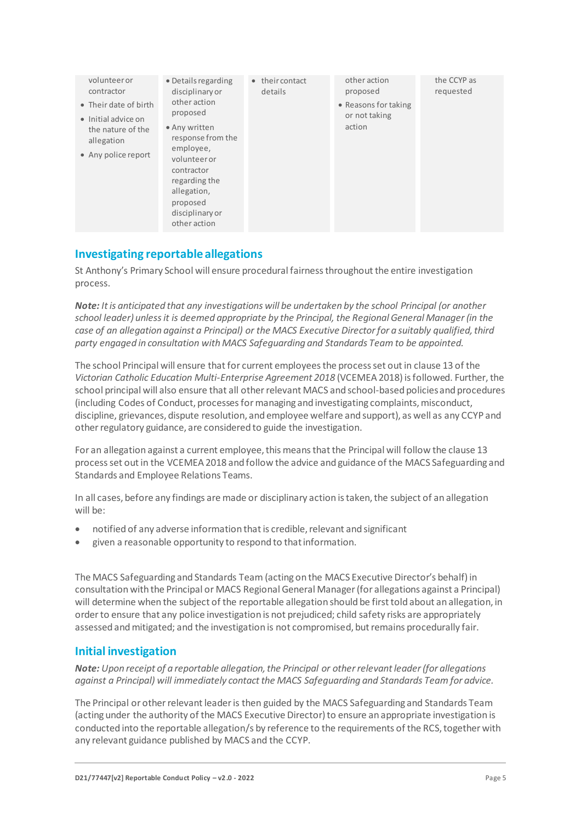| volunteeror<br>contractor<br>• Their date of birth<br>• Initial advice on<br>the nature of the<br>allegation<br>• Any police report | • Details regarding<br>disciplinary or<br>other action<br>proposed<br>• Any written<br>response from the<br>employee,<br>volunteer or<br>contractor<br>regarding the<br>allegation,<br>proposed<br>disciplinary or<br>other action | • their contact<br>details | other action<br>proposed<br>• Reasons for taking<br>or not taking<br>action | the CCYP as<br>requested |
|-------------------------------------------------------------------------------------------------------------------------------------|------------------------------------------------------------------------------------------------------------------------------------------------------------------------------------------------------------------------------------|----------------------------|-----------------------------------------------------------------------------|--------------------------|
|-------------------------------------------------------------------------------------------------------------------------------------|------------------------------------------------------------------------------------------------------------------------------------------------------------------------------------------------------------------------------------|----------------------------|-----------------------------------------------------------------------------|--------------------------|

## **Investigating reportable allegations**

St Anthony's Primary School will ensure procedural fairness throughout the entire investigation process.

*Note: It is anticipated that any investigations will be undertaken by the school Principal (or another school leader) unless it is deemed appropriate by the Principal, the Regional General Manager (in the case of an allegation against a Principal) or the MACS Executive Director for a suitably qualified, third party engaged in consultation with MACS Safeguarding and Standards Team to be appointed.*

The school Principal will ensure that for current employees the process set out in clause 13 of the *Victorian Catholic Education Multi-Enterprise Agreement 2018* (VCEMEA 2018) is followed. Further, the school principal will also ensure that all other relevant MACS and school-based policies and procedures (including Codes of Conduct, processes for managing and investigating complaints, misconduct, discipline, grievances, dispute resolution, and employee welfare and support), as well as any CCYP and other regulatory guidance, are considered to guide the investigation.

For an allegation against a current employee, this means that the Principal will follow the clause 13 process set out in the VCEMEA 2018 and follow the advice and guidance of the MACS Safeguarding and Standards and Employee Relations Teams.

In all cases, before any findings are made or disciplinary action is taken, the subject of an allegation will be:

- notified of any adverse information that is credible, relevant and significant
- given a reasonable opportunity to respond to thatinformation.

The MACS Safeguarding and Standards Team (acting on the MACS Executive Director's behalf) in consultation with the Principal or MACS Regional General Manager (for allegations against a Principal) will determine when the subject of the reportable allegation should be first told about an allegation, in order to ensure that any police investigation is not prejudiced; child safety risks are appropriately assessed and mitigated; and the investigation is not compromised, but remains procedurally fair.

## **Initial investigation**

*Note: Upon receipt of a reportable allegation, the Principal or other relevant leader (for allegations against a Principal) will immediately contact the MACS Safeguarding and Standards Team for advice.*

The Principal or other relevant leader is then guided by the MACS Safeguarding and Standards Team (acting under the authority of the MACS Executive Director) to ensure an appropriate investigation is conducted into the reportable allegation/s by reference to the requirements of the RCS, together with any relevant guidance published by MACS and the CCYP.